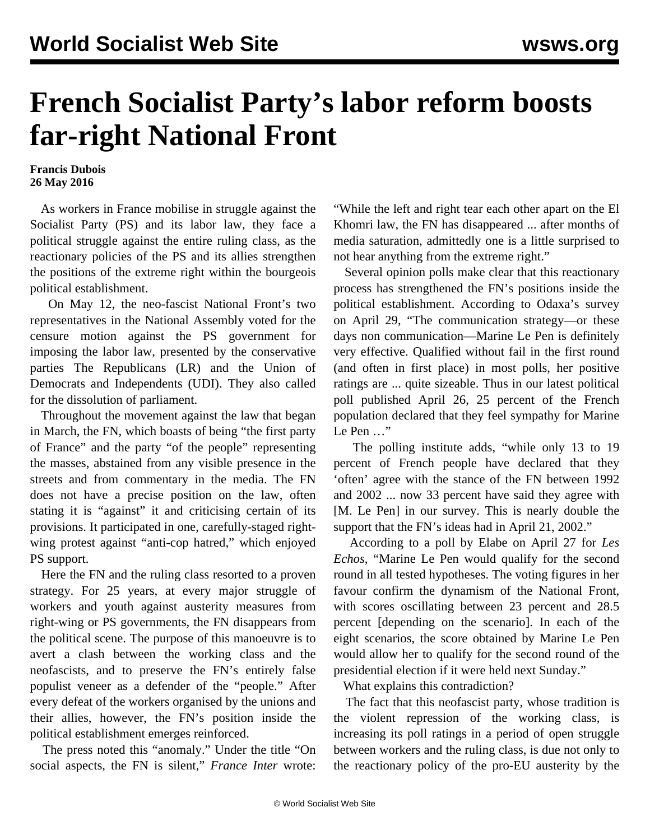## **French Socialist Party's labor reform boosts far-right National Front**

## **Francis Dubois 26 May 2016**

 As workers in France mobilise in struggle against the Socialist Party (PS) and its labor law, they face a political struggle against the entire ruling class, as the reactionary policies of the PS and its allies strengthen the positions of the extreme right within the bourgeois political establishment.

 On May 12, the neo-fascist National Front's two representatives in the National Assembly voted for the censure motion against the PS government for imposing the labor law, presented by the conservative parties The Republicans (LR) and the Union of Democrats and Independents (UDI). They also called for the dissolution of parliament.

 Throughout the movement against the law that began in March, the FN, which boasts of being "the first party of France" and the party "of the people" representing the masses, abstained from any visible presence in the streets and from commentary in the media. The FN does not have a precise position on the law, often stating it is "against" it and criticising certain of its provisions. It participated in one, carefully-staged rightwing protest against "anti-cop hatred," which enjoyed PS support.

 Here the FN and the ruling class resorted to a proven strategy. For 25 years, at every major struggle of workers and youth against austerity measures from right-wing or PS governments, the FN disappears from the political scene. The purpose of this manoeuvre is to avert a clash between the working class and the neofascists, and to preserve the FN's entirely false populist veneer as a defender of the "people." After every defeat of the workers organised by the unions and their allies, however, the FN's position inside the political establishment emerges reinforced.

 The press noted this "anomaly." Under the title "On social aspects, the FN is silent," *France Inter* wrote: "While the left and right tear each other apart on the El Khomri law, the FN has disappeared ... after months of media saturation, admittedly one is a little surprised to not hear anything from the extreme right."

 Several opinion polls make clear that this reactionary process has strengthened the FN's positions inside the political establishment. According to Odaxa's survey on April 29, "The communication strategy—or these days non communication—Marine Le Pen is definitely very effective. Qualified without fail in the first round (and often in first place) in most polls, her positive ratings are ... quite sizeable. Thus in our latest political poll published April 26, 25 percent of the French population declared that they feel sympathy for Marine Le Pen ..."

 The polling institute adds, "while only 13 to 19 percent of French people have declared that they 'often' agree with the stance of the FN between 1992 and 2002 ... now 33 percent have said they agree with [M. Le Pen] in our survey. This is nearly double the support that the FN's ideas had in April 21, 2002."

 According to a poll by Elabe on April 27 for *Les Echos*, "Marine Le Pen would qualify for the second round in all tested hypotheses. The voting figures in her favour confirm the dynamism of the National Front, with scores oscillating between 23 percent and 28.5 percent [depending on the scenario]. In each of the eight scenarios, the score obtained by Marine Le Pen would allow her to qualify for the second round of the presidential election if it were held next Sunday."

What explains this contradiction?

 The fact that this neofascist party, whose tradition is the violent repression of the working class, is increasing its poll ratings in a period of open struggle between workers and the ruling class, is due not only to the reactionary policy of the pro-EU austerity by the